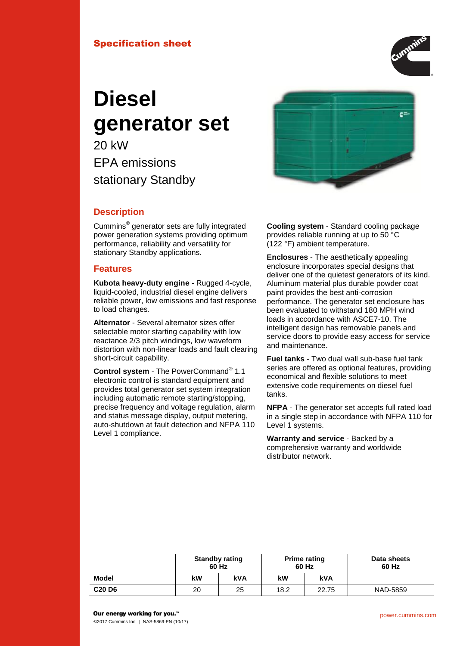# Specification sheet



# **Diesel generator set**

20 kW EPA emissions stationary Standby



# **Description**

Cummins® generator sets are fully integrated power generation systems providing optimum performance, reliability and versatility for stationary Standby applications.

## **Features**

**Kubota heavy-duty engine** - Rugged 4-cycle, liquid-cooled, industrial diesel engine delivers reliable power, low emissions and fast response to load changes.

**Alternator** - Several alternator sizes offer selectable motor starting capability with low reactance 2/3 pitch windings, low waveform distortion with non-linear loads and fault clearing short-circuit capability.

**Control system** - The PowerCommand® 1.1 electronic control is standard equipment and provides total generator set system integration including automatic remote starting/stopping, precise frequency and voltage regulation, alarm and status message display, output metering, auto-shutdown at fault detection and NFPA 110 Level 1 compliance.

**Cooling system** - Standard cooling package provides reliable running at up to 50 °C (122 °F) ambient temperature.

**Enclosures** - The aesthetically appealing enclosure incorporates special designs that deliver one of the quietest generators of its kind. Aluminum material plus durable powder coat paint provides the best anti-corrosion performance. The generator set enclosure has been evaluated to withstand 180 MPH wind loads in accordance with ASCE7-10. The intelligent design has removable panels and service doors to provide easy access for service and maintenance.

**Fuel tanks** - Two dual wall sub-base fuel tank series are offered as optional features, providing economical and flexible solutions to meet extensive code requirements on diesel fuel tanks.

**NFPA** - The generator set accepts full rated load in a single step in accordance with NFPA 110 for Level 1 systems.

**Warranty and service** - Backed by a comprehensive warranty and worldwide distributor network.

|                                |    | <b>Standby rating</b><br>60 Hz<br>60 Hz |      | <b>Prime rating</b> | Data sheets<br>60 Hz |  |
|--------------------------------|----|-----------------------------------------|------|---------------------|----------------------|--|
| Model                          | kW | <b>kVA</b>                              | kW   | kVA                 |                      |  |
| C <sub>20</sub> D <sub>6</sub> | 20 | 25                                      | 18.2 | 22.75               | NAD-5859             |  |

©2017 Cummins Inc. | NAS-5869-EN (10/17)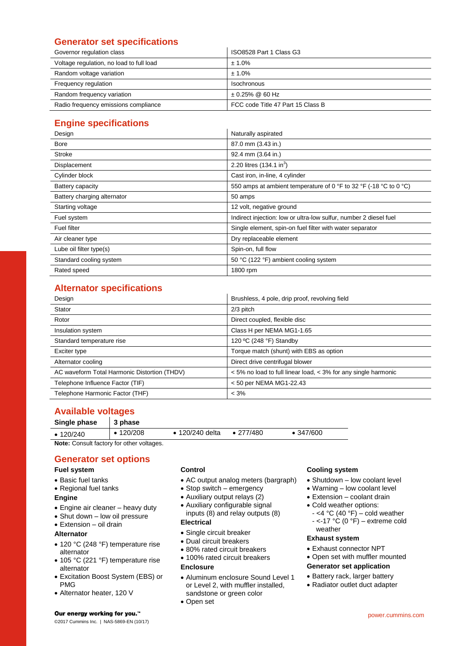# **Generator set specifications**

| Governor regulation class                | ISO8528 Part 1 Class G3           |
|------------------------------------------|-----------------------------------|
| Voltage regulation, no load to full load | ± 1.0%                            |
| Random voltage variation                 | ± 1.0%                            |
| Frequency regulation                     | Isochronous                       |
| Random frequency variation               | $\pm$ 0.25% @ 60 Hz               |
| Radio frequency emissions compliance     | FCC code Title 47 Part 15 Class B |

# **Engine specifications**

| Design                      | Naturally aspirated                                               |
|-----------------------------|-------------------------------------------------------------------|
| <b>Bore</b>                 | 87.0 mm (3.43 in.)                                                |
| Stroke                      | 92.4 mm (3.64 in.)                                                |
| Displacement                | 2.20 litres (134.1 in <sup>3</sup> )                              |
| Cylinder block              | Cast iron, in-line, 4 cylinder                                    |
| Battery capacity            | 550 amps at ambient temperature of 0 °F to 32 °F (-18 °C to 0 °C) |
| Battery charging alternator | 50 amps                                                           |
| Starting voltage            | 12 volt, negative ground                                          |
| Fuel system                 | Indirect injection: low or ultra-low sulfur, number 2 diesel fuel |
| Fuel filter                 | Single element, spin-on fuel filter with water separator          |
| Air cleaner type            | Dry replaceable element                                           |
| Lube oil filter type(s)     | Spin-on, full flow                                                |
| Standard cooling system     | 50 °C (122 °F) ambient cooling system                             |
| Rated speed                 | 1800 rpm                                                          |

# **Alternator specifications**

| Design                                       | Brushless, 4 pole, drip proof, revolving field                 |
|----------------------------------------------|----------------------------------------------------------------|
| Stator                                       | $2/3$ pitch                                                    |
| Rotor                                        | Direct coupled, flexible disc                                  |
| Insulation system                            | Class H per NEMA MG1-1.65                                      |
| Standard temperature rise                    | 120 °C (248 °F) Standby                                        |
| Exciter type                                 | Torque match (shunt) with EBS as option                        |
| Alternator cooling                           | Direct drive centrifugal blower                                |
| AC waveform Total Harmonic Distortion (THDV) | < 5% no load to full linear load, < 3% for any single harmonic |
| Telephone Influence Factor (TIF)             | $<$ 50 per NEMA MG1-22.43                                      |
| Telephone Harmonic Factor (THF)              | $< 3\%$                                                        |

# **Available voltages**

| Single phase    | 3 phase         |                         |                   |                   |  |
|-----------------|-----------------|-------------------------|-------------------|-------------------|--|
| $\cdot$ 120/240 | $\cdot$ 120/208 | $\bullet$ 120/240 delta | $\bullet$ 277/480 | $\bullet$ 347/600 |  |

**Note:** Consult factory for other voltages.

# **Generator set options**

## **Fuel system**

- Basic fuel tanks
- Regional fuel tanks

#### **Engine**

- Engine air cleaner heavy duty
- Shut down low oil pressure
- Extension oil drain

## **Alternator**

- 120 °C (248 °F) temperature rise alternator
- 105 °C (221 °F) temperature rise alternator
- Excitation Boost System (EBS) or PMG
- Alternator heater, 120 V

## **Control**

- AC output analog meters (bargraph)
- Stop switch emergency
- Auxiliary output relays (2)
- Auxiliary configurable signal inputs (8) and relay outputs (8)

## **Electrical**

- Single circuit breaker
- Dual circuit breakers
- 80% rated circuit breakers
- 100% rated circuit breakers

## **Enclosure**

- Aluminum enclosure Sound Level 1 or Level 2, with muffler installed, sandstone or green color
- Open set

## **Cooling system**

- Shutdown low coolant level
- Warning low coolant level
- Extension coolant drain
- Cold weather options:
	- $-$  <4 °C (40 °F) cold weather  $-$  <-17 °C (0 °F) – extreme cold weather

## **Exhaust system**

- Exhaust connector NPT
- Open set with muffler mounted

## **Generator set application**

- Battery rack, larger battery
- Radiator outlet duct adapter

Our energy working for you.™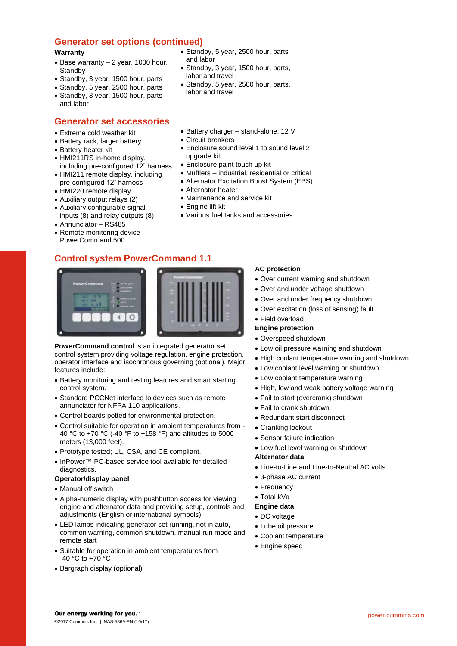## **Generator set options (continued)**

#### **Warranty**

- $\bullet$  Base warranty  $-$  2 year, 1000 hour, **Standby**
- Standby, 3 year, 1500 hour, parts
- Standby, 5 year, 2500 hour, parts
- Standby, 3 year, 1500 hour, parts and labor

## **Generator set accessories**

- Extreme cold weather kit
- Battery rack, larger battery
- Battery heater kit
- HMI211RS in-home display, including pre-configured 12" harness
- HMI211 remote display, including pre-configured 12" harness
- HMI220 remote display
- Auxiliary output relays (2)
- Auxiliary configurable signal
- inputs (8) and relay outputs (8)
- Annunciator RS485
- Remote monitoring device PowerCommand 500

## **Control system PowerCommand 1.1**



**PowerCommand control** is an integrated generator set control system providing voltage regulation, engine protection, operator interface and isochronous governing (optional). Major features include:

- Battery monitoring and testing features and smart starting control system.
- Standard PCCNet interface to devices such as remote annunciator for NFPA 110 applications.
- Control boards potted for environmental protection.
- Control suitable for operation in ambient temperatures from 40 °C to +70 °C (-40 °F to +158 °F) and altitudes to 5000 meters (13,000 feet).
- Prototype tested; UL, CSA, and CE compliant.
- InPower™ PC-based service tool available for detailed diagnostics.

#### **Operator/display panel**

- Manual off switch
- Alpha-numeric display with pushbutton access for viewing engine and alternator data and providing setup, controls and adjustments (English or international symbols)
- LED lamps indicating generator set running, not in auto, common warning, common shutdown, manual run mode and remote start
- Suitable for operation in ambient temperatures from -40 °C to +70 °C
- Bargraph display (optional)
- Standby, 5 year, 2500 hour, parts and labor
- Standby, 3 year, 1500 hour, parts, labor and travel
- Standby, 5 year, 2500 hour, parts, labor and travel
- Battery charger stand-alone, 12 V
- Circuit breakers
- Enclosure sound level 1 to sound level 2 upgrade kit
- Enclosure paint touch up kit
- Mufflers industrial, residential or critical
- Alternator Excitation Boost System (EBS)
- Alternator heater
- Maintenance and service kit
- Engine lift kit
- Various fuel tanks and accessories

#### **AC protection**

- Over current warning and shutdown
- Over and under voltage shutdown
- Over and under frequency shutdown
- Over excitation (loss of sensing) fault
- Field overload

## **Engine protection**

- Overspeed shutdown
- Low oil pressure warning and shutdown
- High coolant temperature warning and shutdown
- Low coolant level warning or shutdown
- Low coolant temperature warning
- High, low and weak battery voltage warning
- Fail to start (overcrank) shutdown
- Fail to crank shutdown
- Redundant start disconnect
- Cranking lockout
- Sensor failure indication
- Low fuel level warning or shutdown

#### **Alternator data**

- Line-to-Line and Line-to-Neutral AC volts
- 3-phase AC current
- Frequency
- Total kVa
- **Engine data**
- DC voltage
- Lube oil pressure
- Coolant temperature
- Engine speed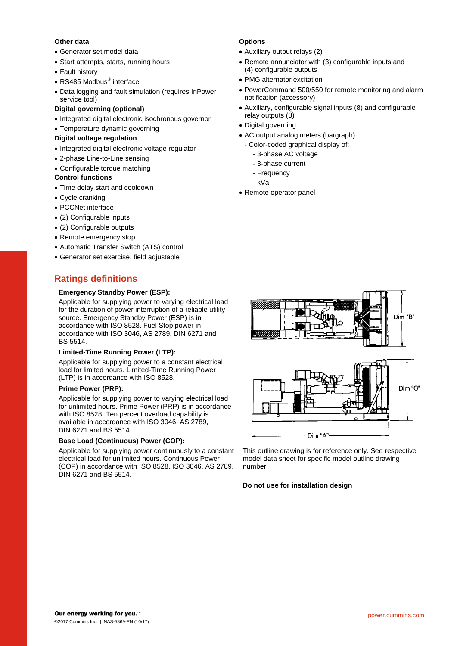## **Other data**

- Generator set model data
- Start attempts, starts, running hours
- Fault history
- RS485 Modbus<sup>®</sup> interface
- Data logging and fault simulation (requires InPower service tool)

## **Digital governing (optional)**

- Integrated digital electronic isochronous governor
- Temperature dynamic governing

## **Digital voltage regulation**

- Integrated digital electronic voltage regulator
- 2-phase Line-to-Line sensing
- Configurable torque matching

## **Control functions**

- Time delay start and cooldown
- Cycle cranking
- PCCNet interface
- (2) Configurable inputs
- (2) Configurable outputs
- Remote emergency stop
- Automatic Transfer Switch (ATS) control
- Generator set exercise, field adjustable

# **Ratings definitions**

### **Emergency Standby Power (ESP):**

Applicable for supplying power to varying electrical load for the duration of power interruption of a reliable utility source. Emergency Standby Power (ESP) is in accordance with ISO 8528. Fuel Stop power in accordance with ISO 3046, AS 2789, DIN 6271 and BS 5514.

#### **Limited-Time Running Power (LTP):**

Applicable for supplying power to a constant electrical load for limited hours. Limited-Time Running Power (LTP) is in accordance with ISO 8528.

#### **Prime Power (PRP):**

Applicable for supplying power to varying electrical load for unlimited hours. Prime Power (PRP) is in accordance with ISO 8528. Ten percent overload capability is available in accordance with ISO 3046, AS 2789, DIN 6271 and BS 5514.

#### **Base Load (Continuous) Power (COP):**

Applicable for supplying power continuously to a constant electrical load for unlimited hours. Continuous Power (COP) in accordance with ISO 8528, ISO 3046, AS 2789, DIN 6271 and BS 5514.

## **Options**

- Auxiliary output relays (2)
- Remote annunciator with (3) configurable inputs and (4) configurable outputs
- PMG alternator excitation
- PowerCommand 500/550 for remote monitoring and alarm notification (accessory)
- Auxiliary, configurable signal inputs (8) and configurable relay outputs (8)
- Digital governing
- AC output analog meters (bargraph)
	- Color-coded graphical display of:
		- 3-phase AC voltage
		- 3-phase current
		- Frequency
		- kVa
- Remote operator panel



This outline drawing is for reference only. See respective model data sheet for specific model outline drawing number.

#### **Do not use for installation design**